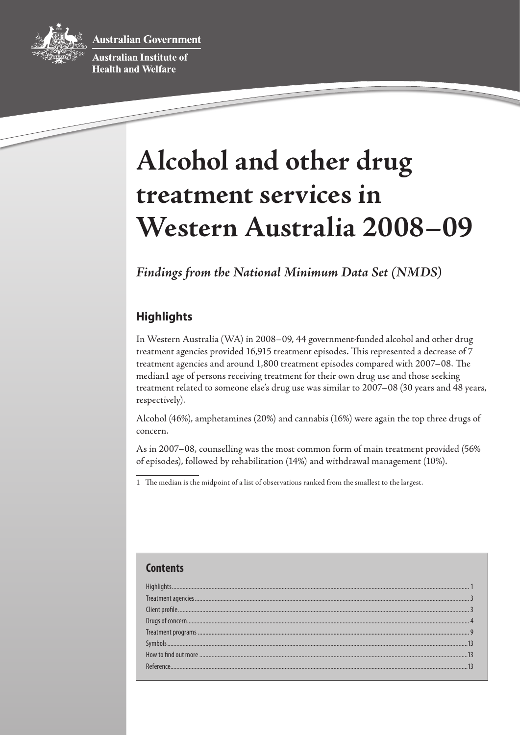**Australian Government** 



Australian Institute of **Health and Welfare** 

# **Alcohol and other drug treatment services in Western Australia 2008–09**

*Findings from the National Minimum Data Set (NMDS)* 

# **Highlights**

In Western Australia (WA) in 2008–09, 44 government-funded alcohol and other drug treatment agencies provided 16,915 treatment episodes. This represented a decrease of 7 treatment agencies and around 1,800 treatment episodes compared with 2007–08. The median1 age of persons receiving treatment for their own drug use and those seeking treatment related to someone else's drug use was similar to 2007–08 (30 years and 48 years, respectively).

Alcohol (46%), amphetamines (20%) and cannabis (16%) were again the top three drugs of concern.

As in 2007–08, counselling was the most common form of main treatment provided (56% of episodes), followed by rehabilitation (14%) and withdrawal management (10%).

1 The median is the midpoint of a list of observations ranked from the smallest to the largest.

# **Contents** Highlights.................................................................................................................................................................................................... 1 Treatment agencies....... [Clientprofile................................................................................................................................................................................................ 3](#page-2-0) Drugs of concern... Treatment programs ... [Symbols......................................................................................................................................................................................................13](#page-12-0) How to findout [more.................................................................................................................................................................................13](#page-12-0) [Reference...................................................................................................................................................................................................13](#page-12-0)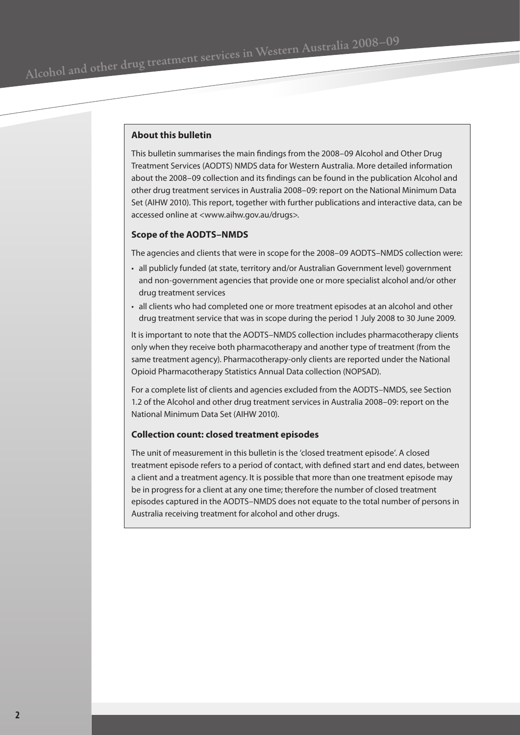# **About this bulletin**

This bulletin summarises the main findings from the 2008–09 Alcohol and Other Drug Treatment Services (AODTS) NMDS data for Western Australia. More detailed information about the 2008–09 collection and its findings can be found in the publication Alcohol and other drug treatment services in Australia 2008–09: report on the National Minimum Data Set (AIHW 2010). This report, together with further publications and interactive data, can be accessed online at <www.aihw.gov.au/drugs>.

#### **Scope of the AODTS–NMDS**

The agencies and clients that were in scope for the 2008–09 AODTS–NMDS collection were:

- all publicly funded (at state, territory and/or Australian Government level) government and non-government agencies that provide one or more specialist alcohol and/or other drug treatment services
- all clients who had completed one or more treatment episodes at an alcohol and other drug treatment service that was in scope during the period 1 July 2008 to 30 June 2009.

It is important to note that the AODTS–NMDS collection includes pharmacotherapy clients only when they receive both pharmacotherapy and another type of treatment (from the same treatment agency). Pharmacotherapy-only clients are reported under the National Opioid Pharmacotherapy Statistics Annual Data collection (NOPSAD).

For a complete list of clients and agencies excluded from the AODTS–NMDS, see Section 1.2 of the Alcohol and other drug treatment services in Australia 2008–09: report on the National Minimum Data Set (AIHW 2010).

#### **Collection count: closed treatment episodes**

The unit of measurement in this bulletin is the 'closed treatment episode'. A closed treatment episode refers to a period of contact, with defined start and end dates, between a client and a treatment agency. It is possible that more than one treatment episode may be in progress for a client at any one time; therefore the number of closed treatment episodes captured in the AODTS–NMDS does not equate to the total number of persons in Australia receiving treatment for alcohol and other drugs.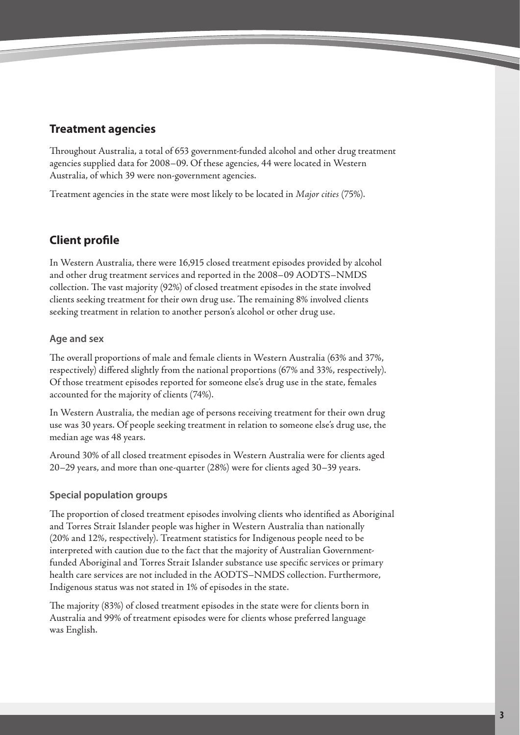# <span id="page-2-0"></span>**Treatment agencies**

Throughout Australia, a total of 653 government-funded alcohol and other drug treatment agencies supplied data for 2008–09. Of these agencies, 44 were located in Western Australia, of which 39 were non-government agencies.

Treatment agencies in the state were most likely to be located in *Major cities* (75%).

# **Client profile**

In Western Australia, there were 16,915 closed treatment episodes provided by alcohol and other drug treatment services and reported in the 2008–09 AODTS–NMDS collection. The vast majority (92%) of closed treatment episodes in the state involved clients seeking treatment for their own drug use. The remaining 8% involved clients seeking treatment in relation to another person's alcohol or other drug use.

# **Age and sex**

The overall proportions of male and female clients in Western Australia (63% and 37%, respectively) differed slightly from the national proportions (67% and 33%, respectively). Of those treatment episodes reported for someone else's drug use in the state, females accounted for the majority of clients (74%).

In Western Australia, the median age of persons receiving treatment for their own drug use was 30 years. Of people seeking treatment in relation to someone else's drug use, the median age was 48 years.

Around 30% of all closed treatment episodes in Western Australia were for clients aged 20–29 years, and more than one-quarter (28%) were for clients aged 30–39 years.

# **Special population groups**

The proportion of closed treatment episodes involving clients who identified as Aboriginal and Torres Strait Islander people was higher in Western Australia than nationally (20% and 12%, respectively). Treatment statistics for Indigenous people need to be interpreted with caution due to the fact that the majority of Australian Governmentfunded Aboriginal and Torres Strait Islander substance use specific services or primary health care services are not included in the AODTS–NMDS collection. Furthermore, Indigenous status was not stated in 1% of episodes in the state.

The majority (83%) of closed treatment episodes in the state were for clients born in Australia and 99% of treatment episodes were for clients whose preferred language was English.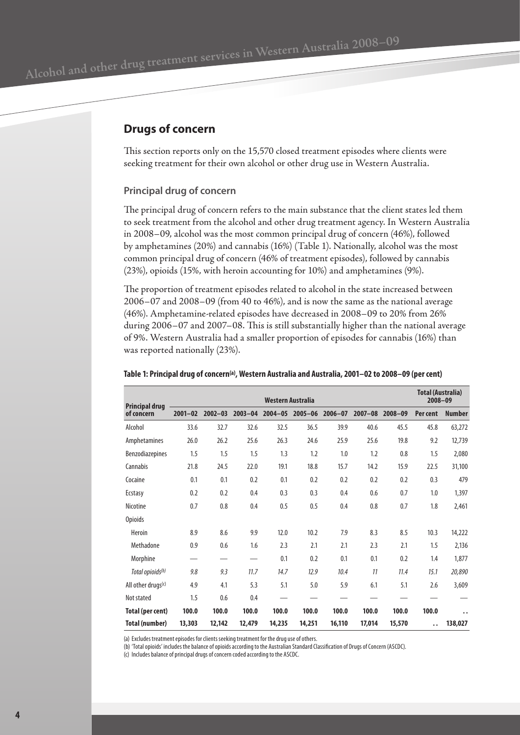# <span id="page-3-0"></span>**Drugs of concern**

This section reports only on the 15,570 closed treatment episodes where clients were seeking treatment for their own alcohol or other drug use in Western Australia.

## **Principal drug of concern**

The principal drug of concern refers to the main substance that the client states led them to seek treatment from the alcohol and other drug treatment agency. In Western Australia in 2008–09, alcohol was the most common principal drug of concern (46%), followed by amphetamines (20%) and cannabis (16%) (Table 1). Nationally, alcohol was the most common principal drug of concern (46% of treatment episodes), followed by cannabis (23%), opioids (15%, with heroin accounting for 10%) and amphetamines (9%).

The proportion of treatment episodes related to alcohol in the state increased between 2006–07 and 2008–09 (from 40 to 46%), and is now the same as the national average (46%). Amphetamine-related episodes have decreased in 2008–09 to 20% from 26% during 2006–07 and 2007–08. This is still substantially higher than the national average of 9%. Western Australia had a smaller proportion of episodes for cannabis (16%) than was reported nationally (23%).

| <b>Principal drug</b>          | Western Australia |             |             |             |             |             |             |             | <b>Total (Australia)</b><br>$2008 - 09$ |                      |
|--------------------------------|-------------------|-------------|-------------|-------------|-------------|-------------|-------------|-------------|-----------------------------------------|----------------------|
| of concern                     | $2001 - 02$       | $2002 - 03$ | $2003 - 04$ | $2004 - 05$ | $2005 - 06$ | $2006 - 07$ | $2007 - 08$ | $2008 - 09$ | Per cent                                | <b>Number</b>        |
| Alcohol                        | 33.6              | 32.7        | 32.6        | 32.5        | 36.5        | 39.9        | 40.6        | 45.5        | 45.8                                    | 63,272               |
| Amphetamines                   | 26.0              | 26.2        | 25.6        | 26.3        | 24.6        | 25.9        | 25.6        | 19.8        | 9.2                                     | 12,739               |
| <b>Benzodiazepines</b>         | 1.5               | 1.5         | 1.5         | 1.3         | 1.2         | 1.0         | 1.2         | 0.8         | 1.5                                     | 2,080                |
| Cannabis                       | 21.8              | 24.5        | 22.0        | 19.1        | 18.8        | 15.7        | 14.2        | 15.9        | 22.5                                    | 31,100               |
| Cocaine                        | 0.1               | 0.1         | 0.2         | 0.1         | 0.2         | 0.2         | 0.2         | 0.2         | 0.3                                     | 479                  |
| Ecstasy                        | 0.2               | 0.2         | 0.4         | 0.3         | 0.3         | 0.4         | 0.6         | 0.7         | 1.0                                     | 1,397                |
| Nicotine                       | 0.7               | 0.8         | 0.4         | 0.5         | 0.5         | 0.4         | 0.8         | 0.7         | 1.8                                     | 2,461                |
| <b>Opioids</b>                 |                   |             |             |             |             |             |             |             |                                         |                      |
| Heroin                         | 8.9               | 8.6         | 9.9         | 12.0        | 10.2        | 7.9         | 8.3         | 8.5         | 10.3                                    | 14,222               |
| Methadone                      | 0.9               | 0.6         | 1.6         | 2.3         | 2.1         | 2.1         | 2.3         | 2.1         | 1.5                                     | 2,136                |
| Morphine                       |                   |             |             | 0.1         | 0.2         | 0.1         | 0.1         | 0.2         | 1.4                                     | 1,877                |
| Total opioids <sup>(b)</sup>   | 9.8               | 9.3         | 11.7        | 14.7        | 12.9        | 10.4        | 11          | 11.4        | 15.1                                    | 20,890               |
| All other drugs <sup>(c)</sup> | 4.9               | 4.1         | 5.3         | 5.1         | 5.0         | 5.9         | 6.1         | 5.1         | 2.6                                     | 3,609                |
| Not stated                     | 1.5               | 0.6         | 0.4         |             |             |             |             |             |                                         |                      |
| Total (per cent)               | 100.0             | 100.0       | 100.0       | 100.0       | 100.0       | 100.0       | 100.0       | 100.0       | 100.0                                   | $\ddot{\phantom{0}}$ |
| Total (number)                 | 13,303            | 12,142      | 12,479      | 14,235      | 14,251      | 16,110      | 17,014      | 15,570      | $\ddot{\phantom{0}}$                    | 138,027              |

#### **Table 1: Principal drug of concern(a), Western Australia and Australia, 2001–02 to 2008–09 (per cent)**

(a) Excludes treatment episodes for clients seeking treatment for the drug use of others.

(b) 'Total opioids' includes the balance of opioids according to the Australian Standard Classification of Drugs of Concern (ASCDC).

(c) Includes balance of principal drugs of concern coded according to the ASCDC.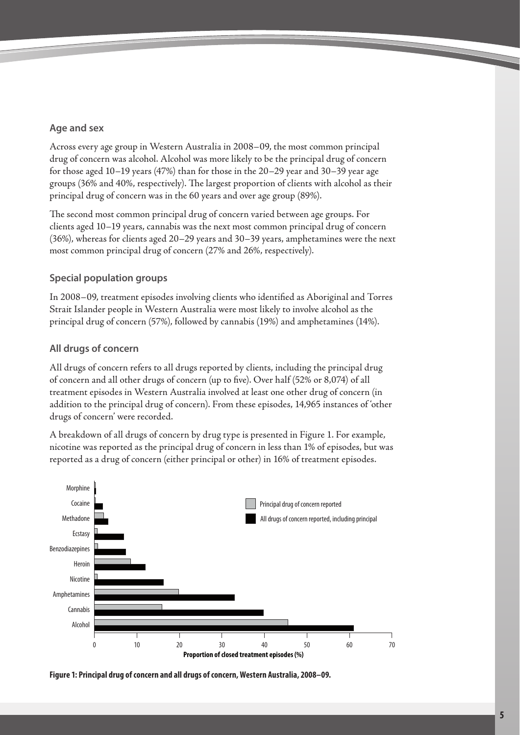# **Age and sex**

Across every age group in Western Australia in 2008–09, the most common principal drug of concern was alcohol. Alcohol was more likely to be the principal drug of concern for those aged 10–19 years (47%) than for those in the 20–29 year and 30–39 year age groups (36% and 40%, respectively). The largest proportion of clients with alcohol as their principal drug of concern was in the 60 years and over age group (89%).

The second most common principal drug of concern varied between age groups. For clients aged 10–19 years, cannabis was the next most common principal drug of concern (36%), whereas for clients aged 20–29 years and 30–39 years, amphetamines were the next most common principal drug of concern (27% and 26%, respectively).

# **Special population groups**

In 2008–09, treatment episodes involving clients who identified as Aboriginal and Torres Strait Islander people in Western Australia were most likely to involve alcohol as the principal drug of concern (57%), followed by cannabis (19%) and amphetamines (14%).

# **All drugs of concern**

All drugs of concern refers to all drugs reported by clients, including the principal drug of concern and all other drugs of concern (up to five). Over half (52% or 8,074) of all treatment episodes in Western Australia involved at least one other drug of concern (in addition to the principal drug of concern). From these episodes, 14,965 instances of 'other drugs of concern' were recorded.

A breakdown of all drugs of concern by drug type is presented in Figure 1. For example, nicotine was reported as the principal drug of concern in less than 1% of episodes, but was reported as a drug of concern (either principal or other) in 16% of treatment episodes.



**Figure 1: Principal drug of concern and all drugs of concern, Western Australia, 2008–09.**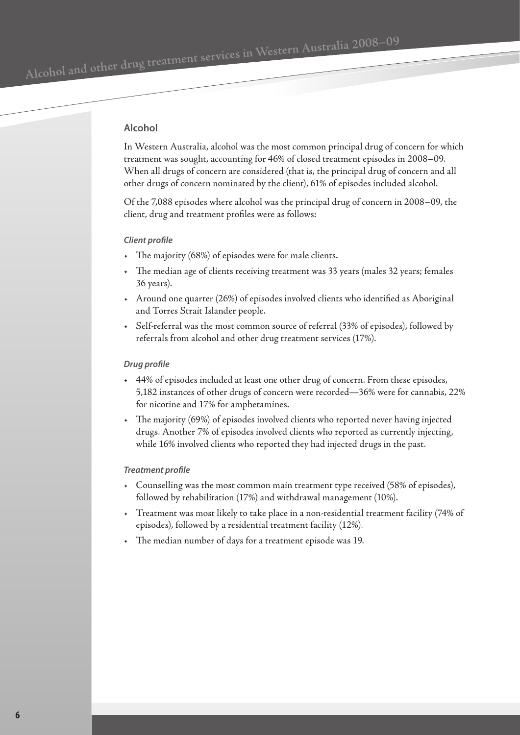# **Alcohol**

In Western Australia, alcohol was the most common principal drug of concern for which treatment was sought, accounting for 46% of closed treatment episodes in 2008–09. When all drugs of concern are considered (that is, the principal drug of concern and all other drugs of concern nominated by the client), 61% of episodes included alcohol.

Of the 7,088 episodes where alcohol was the principal drug of concern in 2008–09, the client, drug and treatment profiles were as follows:

#### *Client profile*

- The majority (68%) of episodes were for male clients.
- The median age of clients receiving treatment was 33 years (males 32 years; females 36 years).
- Around one quarter (26%) of episodes involved clients who identified as Aboriginal and Torres Strait Islander people.
- Self-referral was the most common source of referral (33% of episodes), followed by referrals from alcohol and other drug treatment services (17%).

#### *Drug profile*

- 44% of episodes included at least one other drug of concern. From these episodes, 5,182 instances of other drugs of concern were recorded—36% were for cannabis, 22% for nicotine and 17% for amphetamines.
- The majority (69%) of episodes involved clients who reported never having injected drugs. Another 7% of episodes involved clients who reported as currently injecting, while 16% involved clients who reported they had injected drugs in the past.

#### *Treatment profile*

- Counselling was the most common main treatment type received (58% of episodes), followed by rehabilitation (17%) and withdrawal management (10%).
- Treatment was most likely to take place in a non-residential treatment facility (74% of episodes), followed by a residential treatment facility (12%).
- The median number of days for a treatment episode was 19*.*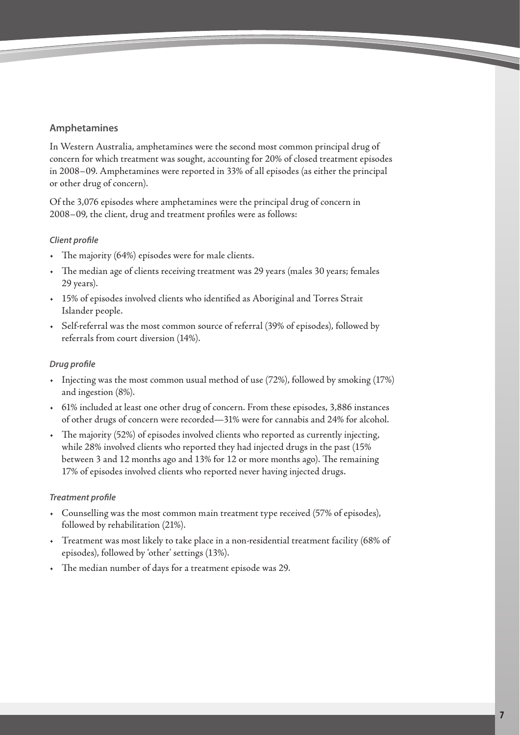# **Amphetamines**

In Western Australia, amphetamines were the second most common principal drug of concern for which treatment was sought, accounting for 20% of closed treatment episodes in 2008–09. Amphetamines were reported in 33% of all episodes (as either the principal or other drug of concern).

Of the 3,076 episodes where amphetamines were the principal drug of concern in 2008–09, the client, drug and treatment profiles were as follows:

## *Client profile*

- The majority (64%) episodes were for male clients.
- The median age of clients receiving treatment was 29 years (males 30 years; females 29 years).
- 15% of episodes involved clients who identified as Aboriginal and Torres Strait Islander people.
- Self-referral was the most common source of referral (39% of episodes), followed by referrals from court diversion (14%).

## *Drug profile*

- Injecting was the most common usual method of use (72%), followed by smoking (17%) and ingestion (8%).
- 61% included at least one other drug of concern. From these episodes, 3,886 instances of other drugs of concern were recorded—31% were for cannabis and 24% for alcohol.
- The majority (52%) of episodes involved clients who reported as currently injecting, while 28% involved clients who reported they had injected drugs in the past (15% between 3 and 12 months ago and 13% for 12 or more months ago). The remaining 17% of episodes involved clients who reported never having injected drugs.

#### *Treatment profile*

- Counselling was the most common main treatment type received (57% of episodes), followed by rehabilitation (21%).
- Treatment was most likely to take place in a non-residential treatment facility (68% of episodes), followed by 'other' settings (13%).
- The median number of days for a treatment episode was 29.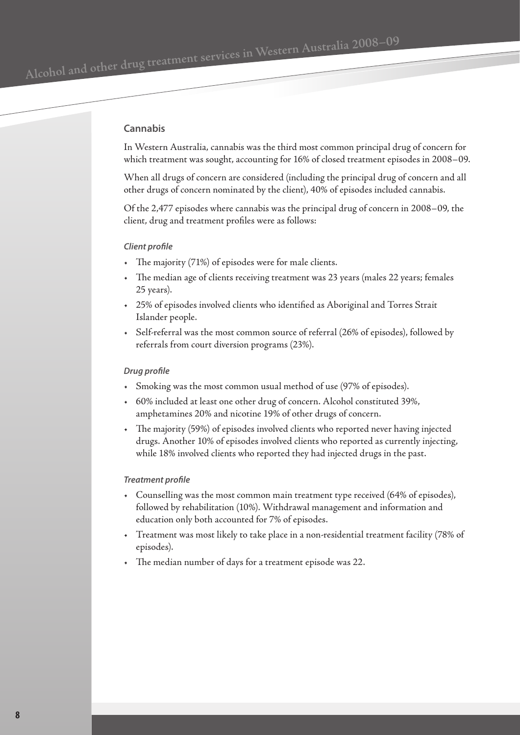#### **Cannabis**

In Western Australia, cannabis was the third most common principal drug of concern for which treatment was sought, accounting for 16% of closed treatment episodes in 2008–09.

When all drugs of concern are considered (including the principal drug of concern and all other drugs of concern nominated by the client), 40% of episodes included cannabis.

Of the 2,477 episodes where cannabis was the principal drug of concern in 2008–09, the client, drug and treatment profiles were as follows:

#### *Client profile*

- The majority (71%) of episodes were for male clients.
- The median age of clients receiving treatment was 23 years (males 22 years; females 25 years).
- 25% of episodes involved clients who identified as Aboriginal and Torres Strait Islander people.
- Self-referral was the most common source of referral (26% of episodes), followed by referrals from court diversion programs (23%).

#### *Drug profile*

- Smoking was the most common usual method of use (97% of episodes).
- 60% included at least one other drug of concern. Alcohol constituted 39%, amphetamines 20% and nicotine 19% of other drugs of concern.
- The majority (59%) of episodes involved clients who reported never having injected drugs. Another 10% of episodes involved clients who reported as currently injecting, while 18% involved clients who reported they had injected drugs in the past.

#### *Treatment profile*

- Counselling was the most common main treatment type received (64% of episodes), followed by rehabilitation (10%). Withdrawal management and information and education only both accounted for 7% of episodes.
- Treatment was most likely to take place in a non-residential treatment facility (78% of episodes).
- The median number of days for a treatment episode was 22.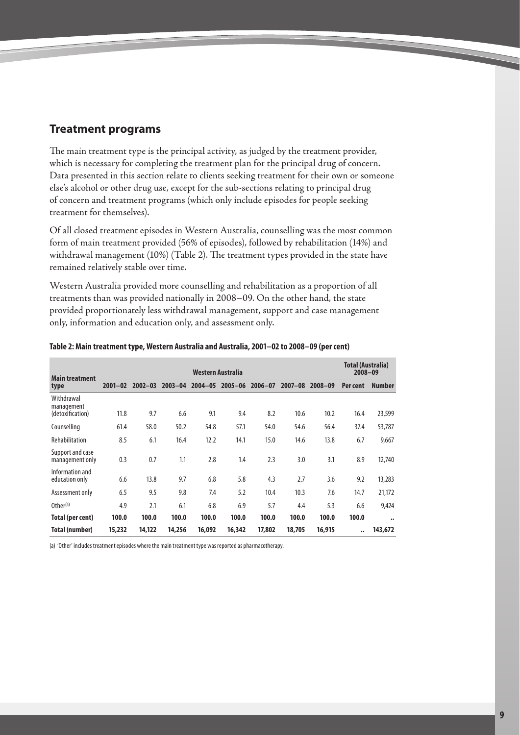# <span id="page-8-0"></span>**Treatment programs**

The main treatment type is the principal activity, as judged by the treatment provider, which is necessary for completing the treatment plan for the principal drug of concern. Data presented in this section relate to clients seeking treatment for their own or someone else's alcohol or other drug use, except for the sub-sections relating to principal drug of concern and treatment programs (which only include episodes for people seeking treatment for themselves).

Of all closed treatment episodes in Western Australia, counselling was the most common form of main treatment provided (56% of episodes), followed by rehabilitation (14%) and withdrawal management (10%) (Table 2). The treatment types provided in the state have remained relatively stable over time.

Western Australia provided more counselling and rehabilitation as a proportion of all treatments than was provided nationally in 2008–09. On the other hand, the state provided proportionately less withdrawal management, support and case management only, information and education only, and assessment only.

| <b>Main treatment</b>                        | Western Australia |             |             |             |             |             |             |             | <b>Total (Australia)</b><br>$2008 - 09$ |                   |
|----------------------------------------------|-------------------|-------------|-------------|-------------|-------------|-------------|-------------|-------------|-----------------------------------------|-------------------|
| type                                         | $2001 - 02$       | $2002 - 03$ | $2003 - 04$ | $2004 - 05$ | $2005 - 06$ | $2006 - 07$ | $2007 - 08$ | $2008 - 09$ | Per cent                                | <b>Number</b>     |
| Withdrawal<br>management<br>(detoxification) | 11.8              | 9.7         | 6.6         | 9.1         | 9.4         | 8.2         | 10.6        | 10.2        | 16.4                                    | 23,599            |
| Counselling                                  | 61.4              | 58.0        | 50.2        | 54.8        | 57.1        | 54.0        | 54.6        | 56.4        | 37.4                                    | 53,787            |
| Rehabilitation                               | 8.5               | 6.1         | 16.4        | 12.2        | 14.1        | 15.0        | 14.6        | 13.8        | 6.7                                     | 9,667             |
| Support and case<br>management only          | 0.3               | 0.7         | 1.1         | 2.8         | 1.4         | 2.3         | 3.0         | 3.1         | 8.9                                     | 12,740            |
| Information and<br>education only            | 6.6               | 13.8        | 9.7         | 6.8         | 5.8         | 4.3         | 2.7         | 3.6         | 9.2                                     | 13,283            |
| Assessment only                              | 6.5               | 9.5         | 9.8         | 7.4         | 5.2         | 10.4        | 10.3        | 7.6         | 14.7                                    | 21,172            |
| Other <sup>(a)</sup>                         | 4.9               | 2.1         | 6.1         | 6.8         | 6.9         | 5.7         | 4.4         | 5.3         | 6.6                                     | 9,424             |
| Total (per cent)                             | 100.0             | 100.0       | 100.0       | 100.0       | 100.0       | 100.0       | 100.0       | 100.0       | 100.0                                   | $\bullet \bullet$ |
| Total (number)                               | 15,232            | 14,122      | 14,256      | 16,092      | 16,342      | 17,802      | 18,705      | 16,915      |                                         | 143,672           |

#### **Table 2: Main treatment type, Western Australia and Australia, 2001–02 to 2008–09 (per cent)**

(a) 'Other' includes treatment episodes where the main treatment type was reported as pharmacotherapy.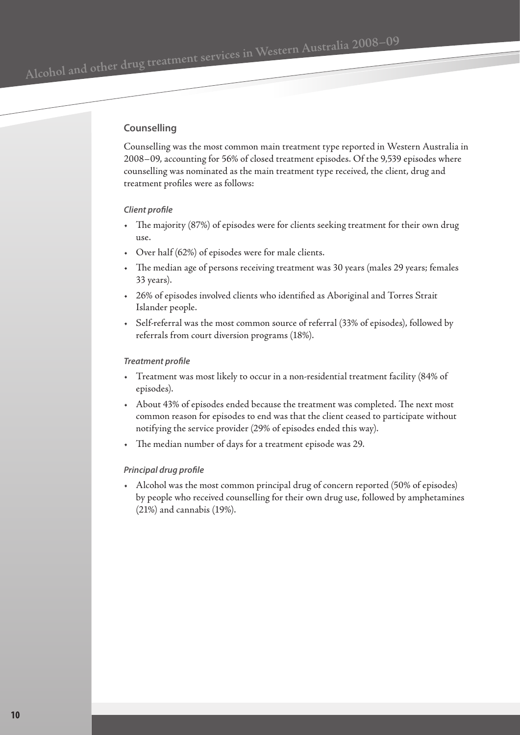#### **Counselling**

Counselling was the most common main treatment type reported in Western Australia in 2008–09, accounting for 56% of closed treatment episodes. Of the 9,539 episodes where counselling was nominated as the main treatment type received, the client, drug and treatment profiles were as follows:

#### *Client profile*

- The majority (87%) of episodes were for clients seeking treatment for their own drug  $11S$ e.
- Over half (62%) of episodes were for male clients.
- The median age of persons receiving treatment was 30 years (males 29 years; females 33 years).
- 26% of episodes involved clients who identified as Aboriginal and Torres Strait Islander people.
- Self-referral was the most common source of referral (33% of episodes), followed by referrals from court diversion programs (18%).

#### *Treatment profile*

- Treatment was most likely to occur in a non-residential treatment facility (84% of episodes).
- About 43% of episodes ended because the treatment was completed. The next most common reason for episodes to end was that the client ceased to participate without notifying the service provider (29% of episodes ended this way).
- The median number of days for a treatment episode was 29.

#### *Principal drug profile*

• Alcohol was the most common principal drug of concern reported (50% of episodes) by people who received counselling for their own drug use, followed by amphetamines (21%) and cannabis (19%).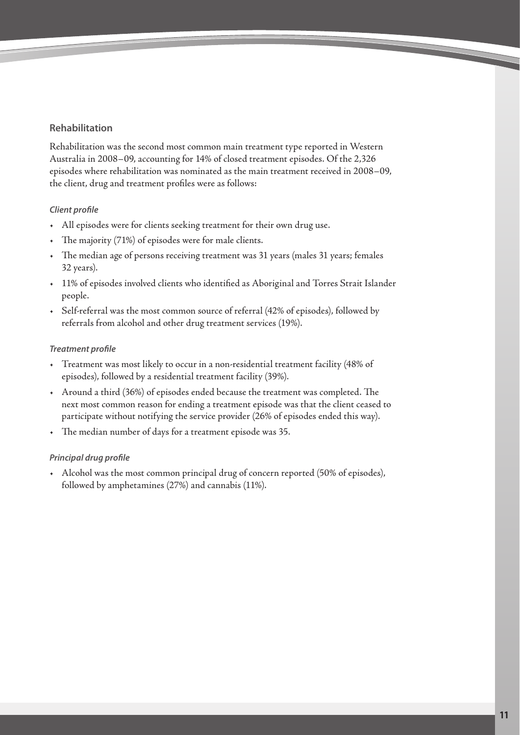# **Rehabilitation**

Rehabilitation was the second most common main treatment type reported in Western Australia in 2008–09, accounting for 14% of closed treatment episodes. Of the 2,326 episodes where rehabilitation was nominated as the main treatment received in 2008–09, the client, drug and treatment profiles were as follows:

# *Client profile*

- All episodes were for clients seeking treatment for their own drug use.
- The majority (71%) of episodes were for male clients.
- The median age of persons receiving treatment was 31 years (males 31 years; females 32 years).
- 11% of episodes involved clients who identified as Aboriginal and Torres Strait Islander people.
- Self-referral was the most common source of referral (42% of episodes), followed by referrals from alcohol and other drug treatment services (19%).

#### *Treatment profile*

- Treatment was most likely to occur in a non-residential treatment facility (48% of episodes), followed by a residential treatment facility (39%).
- Around a third (36%) of episodes ended because the treatment was completed. The next most common reason for ending a treatment episode was that the client ceased to participate without notifying the service provider (26% of episodes ended this way).
- The median number of days for a treatment episode was 35.

# *Principal drug profile*

• Alcohol was the most common principal drug of concern reported (50% of episodes), followed by amphetamines (27%) and cannabis (11%).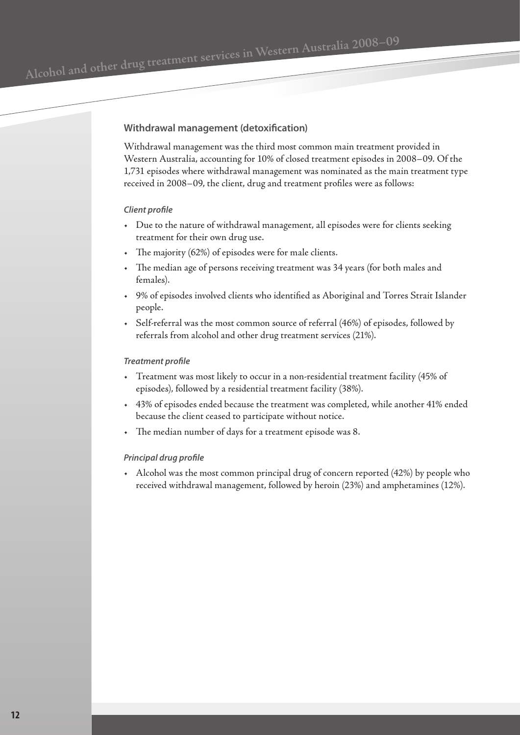#### **Withdrawal management (detoxification)**

Withdrawal management was the third most common main treatment provided in Western Australia, accounting for 10% of closed treatment episodes in 2008–09. Of the 1,731 episodes where withdrawal management was nominated as the main treatment type received in 2008–09, the client, drug and treatment profiles were as follows:

#### *Client profile*

- Due to the nature of withdrawal management, all episodes were for clients seeking treatment for their own drug use.
- The majority (62%) of episodes were for male clients.
- The median age of persons receiving treatment was 34 years (for both males and females).
- 9% of episodes involved clients who identified as Aboriginal and Torres Strait Islander people.
- Self-referral was the most common source of referral (46%) of episodes, followed by referrals from alcohol and other drug treatment services (21%).

#### *Treatment profile*

- Treatment was most likely to occur in a non-residential treatment facility (45% of episodes), followed by a residential treatment facility (38%).
- 43% of episodes ended because the treatment was completed, while another 41% ended because the client ceased to participate without notice.
- The median number of days for a treatment episode was 8.

#### *Principal drug profile*

• Alcohol was the most common principal drug of concern reported (42%) by people who received withdrawal management, followed by heroin (23%) and amphetamines (12%).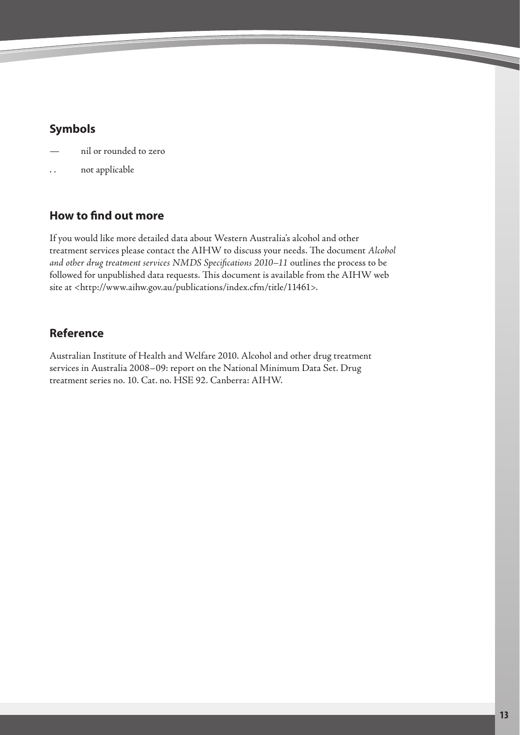# <span id="page-12-0"></span>**Symbols**

- nil or rounded to zero
- not applicable

# **How to find out more**

If you would like more detailed data about Western Australia's alcohol and other treatment services please contact the AIHW to discuss your needs. The document *Alcohol and other drug treatment services NMDS Specifications 2010–11* outlines the process to be followed for unpublished data requests. This document is available from the AIHW web site at <http://www.aihw.gov.au/publications/index.cfm/title/11461>.

# **Reference**

Australian Institute of Health and Welfare 2010. Alcohol and other drug treatment services in Australia 2008–09: report on the National Minimum Data Set. Drug treatment series no. 10. Cat. no. HSE 92. Canberra: AIHW.